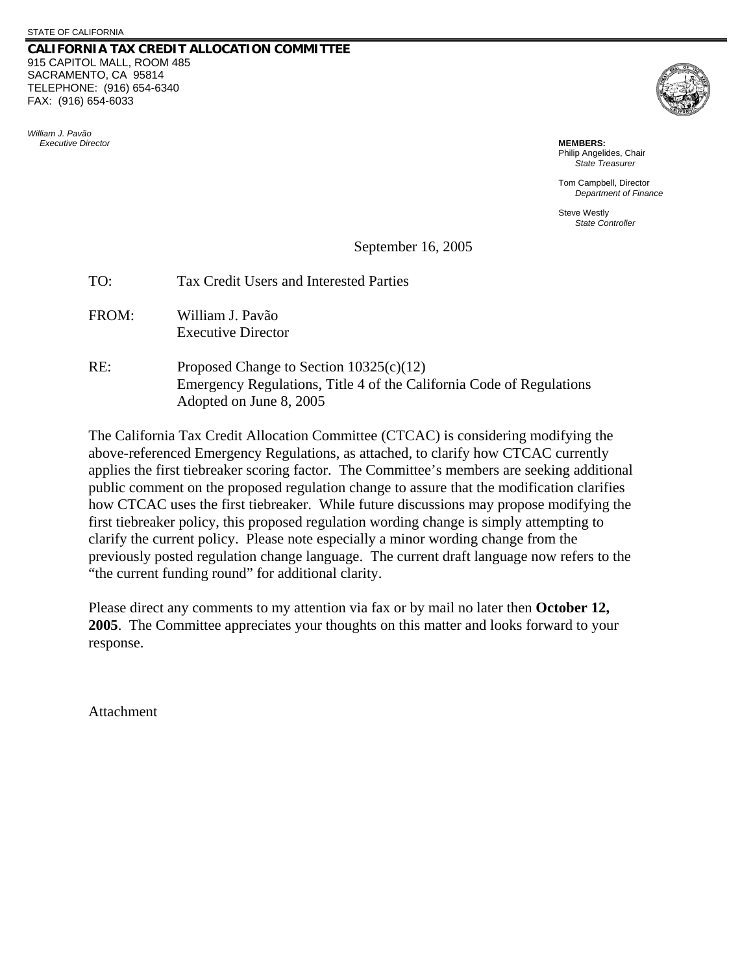## **CALIFORNIA TAX CREDIT ALLOCATION COMMITTEE** 915 CAPITOL MALL, ROOM 485 SACRAMENTO, CA 95814 TELEPHONE: (916) 654-6340 FAX: (916) 654-6033

*William J. Pavão Executive Director* **MEMBERS:**



Philip Angelides, Chair *State Treasurer*

Tom Campbell, Director *Department of Finance* 

Steve Westly *State Controller*

## September 16, 2005

| TO:   | Tax Credit Users and Interested Parties                                                                                                      |
|-------|----------------------------------------------------------------------------------------------------------------------------------------------|
| FROM: | William J. Pavão<br><b>Executive Director</b>                                                                                                |
| RE:   | Proposed Change to Section $10325(c)(12)$<br>Emergency Regulations, Title 4 of the California Code of Regulations<br>Adopted on June 8, 2005 |

The California Tax Credit Allocation Committee (CTCAC) is considering modifying the above-referenced Emergency Regulations, as attached, to clarify how CTCAC currently applies the first tiebreaker scoring factor. The Committee's members are seeking additional public comment on the proposed regulation change to assure that the modification clarifies how CTCAC uses the first tiebreaker. While future discussions may propose modifying the first tiebreaker policy, this proposed regulation wording change is simply attempting to clarify the current policy. Please note especially a minor wording change from the previously posted regulation change language. The current draft language now refers to the "the current funding round" for additional clarity.

Please direct any comments to my attention via fax or by mail no later then **October 12, 2005**. The Committee appreciates your thoughts on this matter and looks forward to your response.

Attachment